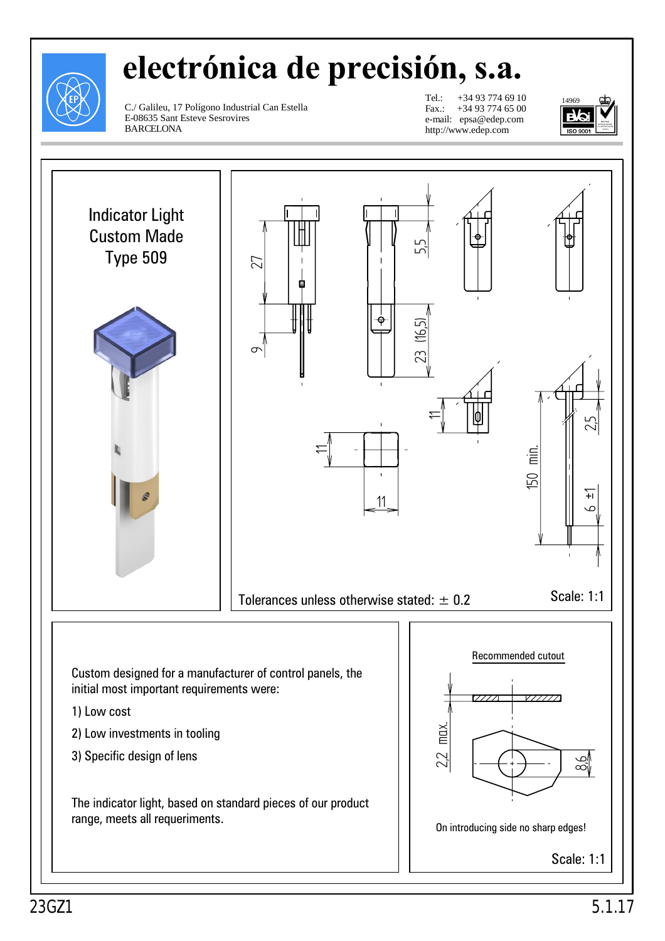

## **electrónica de precisión, s.a.**

C./ Galileu, 17 Polígono Industrial Can Estella E-08635 Sant Esteve Sesrovires BARCELONA

Tel.: +34 93 774 69 10 Fax.: +34 93 774 65 00 e-mail: epsa@edep.com http://www.edep.com



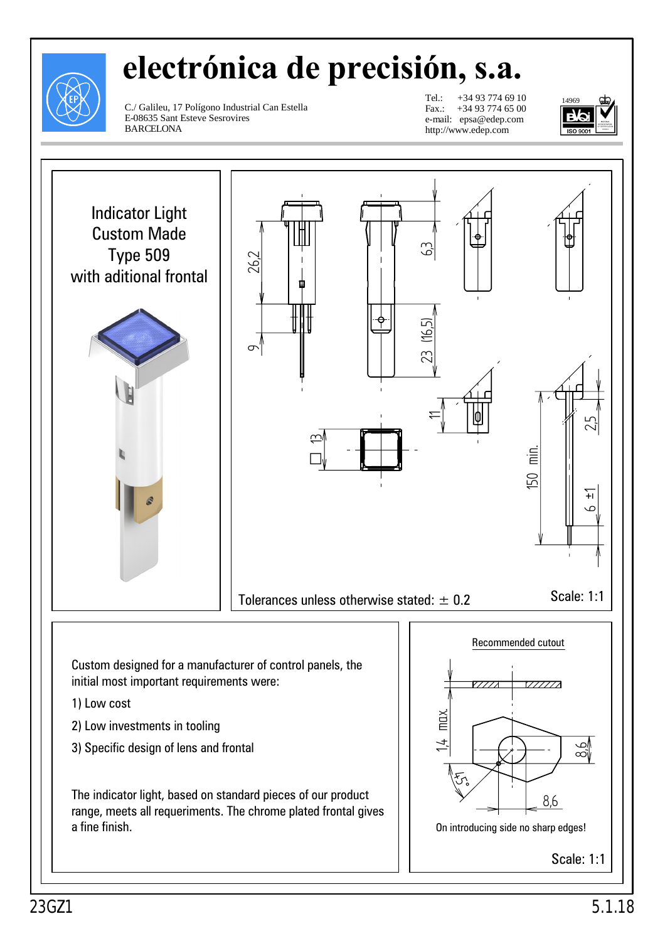

## **electrónica de precisión, s.a.**

C./ Galileu, 17 Polígono Industrial Can Estella E-08635 Sant Esteve Sesrovires BARCELONA

Tel.: +34 93 774 69 10 Fax.: +34 93 774 65 00 e-mail: epsa@edep.com http://www.edep.com